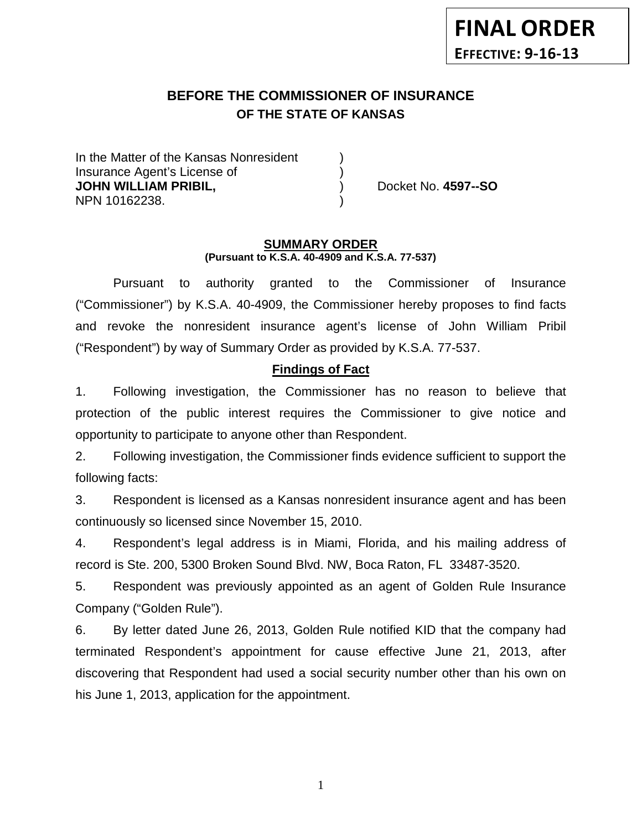# **BEFORE THE COMMISSIONER OF INSURANCE OF THE STATE OF KANSAS**

In the Matter of the Kansas Nonresident Insurance Agent's License of ) **JOHN WILLIAM PRIBIL,** ) Docket No. **4597--SO** NPN 10162238. )

#### **SUMMARY ORDER (Pursuant to K.S.A. 40-4909 and K.S.A. 77-537)**

Pursuant to authority granted to the Commissioner of Insurance ("Commissioner") by K.S.A. 40-4909, the Commissioner hereby proposes to find facts and revoke the nonresident insurance agent's license of John William Pribil ("Respondent") by way of Summary Order as provided by K.S.A. 77-537.

# **Findings of Fact**

1. Following investigation, the Commissioner has no reason to believe that protection of the public interest requires the Commissioner to give notice and opportunity to participate to anyone other than Respondent.

2. Following investigation, the Commissioner finds evidence sufficient to support the following facts:

3. Respondent is licensed as a Kansas nonresident insurance agent and has been continuously so licensed since November 15, 2010.

4. Respondent's legal address is in Miami, Florida, and his mailing address of record is Ste. 200, 5300 Broken Sound Blvd. NW, Boca Raton, FL 33487-3520.

5. Respondent was previously appointed as an agent of Golden Rule Insurance Company ("Golden Rule").

6. By letter dated June 26, 2013, Golden Rule notified KID that the company had terminated Respondent's appointment for cause effective June 21, 2013, after discovering that Respondent had used a social security number other than his own on his June 1, 2013, application for the appointment.

1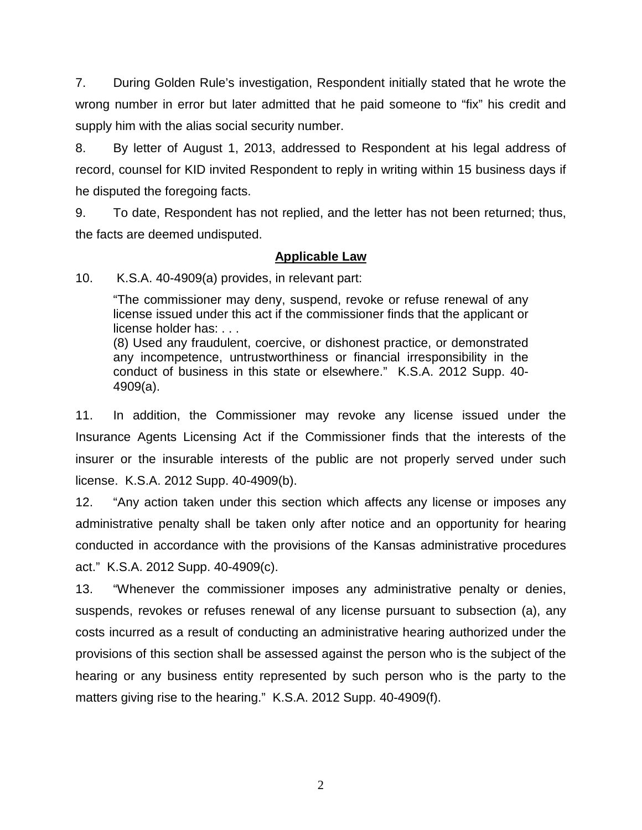7. During Golden Rule's investigation, Respondent initially stated that he wrote the wrong number in error but later admitted that he paid someone to "fix" his credit and supply him with the alias social security number.

8. By letter of August 1, 2013, addressed to Respondent at his legal address of record, counsel for KID invited Respondent to reply in writing within 15 business days if he disputed the foregoing facts.

9. To date, Respondent has not replied, and the letter has not been returned; thus, the facts are deemed undisputed.

### **Applicable Law**

10. K.S.A. 40-4909(a) provides, in relevant part:

"The commissioner may deny, suspend, revoke or refuse renewal of any license issued under this act if the commissioner finds that the applicant or license holder has: . . .

(8) Used any fraudulent, coercive, or dishonest practice, or demonstrated any incompetence, untrustworthiness or financial irresponsibility in the conduct of business in this state or elsewhere." K.S.A. 2012 Supp. 40- 4909(a).

11. In addition, the Commissioner may revoke any license issued under the Insurance Agents Licensing Act if the Commissioner finds that the interests of the insurer or the insurable interests of the public are not properly served under such license. K.S.A. 2012 Supp. 40-4909(b).

12. "Any action taken under this section which affects any license or imposes any administrative penalty shall be taken only after notice and an opportunity for hearing conducted in accordance with the provisions of the Kansas administrative procedures act." K.S.A. 2012 Supp. 40-4909(c).

13. "Whenever the commissioner imposes any administrative penalty or denies, suspends, revokes or refuses renewal of any license pursuant to subsection (a), any costs incurred as a result of conducting an administrative hearing authorized under the provisions of this section shall be assessed against the person who is the subject of the hearing or any business entity represented by such person who is the party to the matters giving rise to the hearing." K.S.A. 2012 Supp. 40-4909(f).

2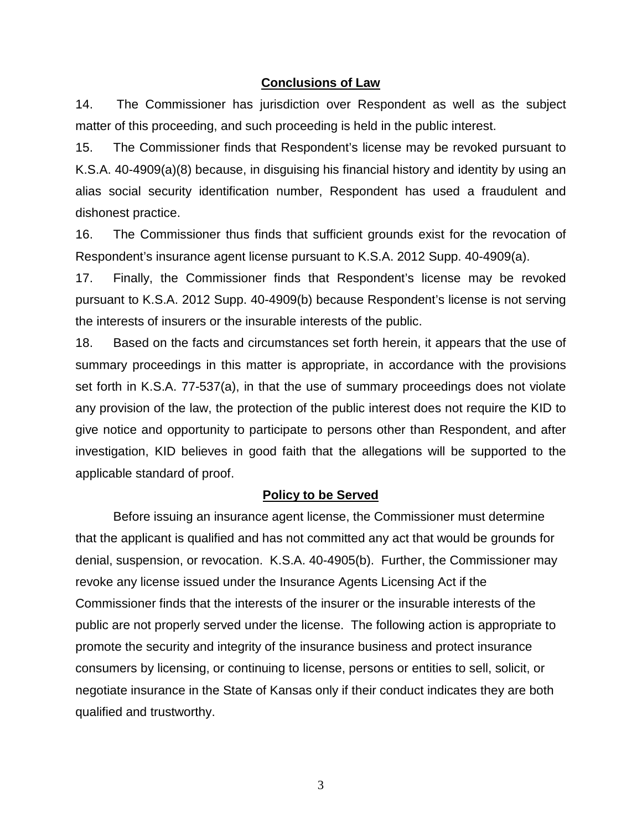#### **Conclusions of Law**

14. The Commissioner has jurisdiction over Respondent as well as the subject matter of this proceeding, and such proceeding is held in the public interest.

15. The Commissioner finds that Respondent's license may be revoked pursuant to K.S.A. 40-4909(a)(8) because, in disguising his financial history and identity by using an alias social security identification number, Respondent has used a fraudulent and dishonest practice.

16. The Commissioner thus finds that sufficient grounds exist for the revocation of Respondent's insurance agent license pursuant to K.S.A. 2012 Supp. 40-4909(a).

17. Finally, the Commissioner finds that Respondent's license may be revoked pursuant to K.S.A. 2012 Supp. 40-4909(b) because Respondent's license is not serving the interests of insurers or the insurable interests of the public.

18. Based on the facts and circumstances set forth herein, it appears that the use of summary proceedings in this matter is appropriate, in accordance with the provisions set forth in K.S.A. 77-537(a), in that the use of summary proceedings does not violate any provision of the law, the protection of the public interest does not require the KID to give notice and opportunity to participate to persons other than Respondent, and after investigation, KID believes in good faith that the allegations will be supported to the applicable standard of proof.

#### **Policy to be Served**

Before issuing an insurance agent license, the Commissioner must determine that the applicant is qualified and has not committed any act that would be grounds for denial, suspension, or revocation. K.S.A. 40-4905(b). Further, the Commissioner may revoke any license issued under the Insurance Agents Licensing Act if the Commissioner finds that the interests of the insurer or the insurable interests of the public are not properly served under the license. The following action is appropriate to promote the security and integrity of the insurance business and protect insurance consumers by licensing, or continuing to license, persons or entities to sell, solicit, or negotiate insurance in the State of Kansas only if their conduct indicates they are both qualified and trustworthy.

3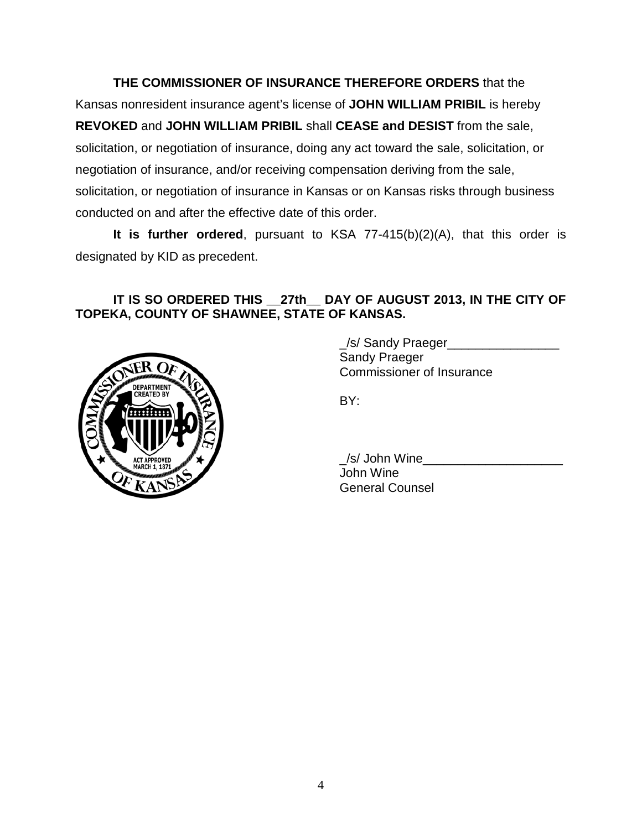**THE COMMISSIONER OF INSURANCE THEREFORE ORDERS** that the Kansas nonresident insurance agent's license of **JOHN WILLIAM PRIBIL** is hereby **REVOKED** and **JOHN WILLIAM PRIBIL** shall **CEASE and DESIST** from the sale, solicitation, or negotiation of insurance, doing any act toward the sale, solicitation, or negotiation of insurance, and/or receiving compensation deriving from the sale, solicitation, or negotiation of insurance in Kansas or on Kansas risks through business conducted on and after the effective date of this order.

**It is further ordered**, pursuant to KSA 77-415(b)(2)(A), that this order is designated by KID as precedent.

# **IT IS SO ORDERED THIS \_\_27th\_\_ DAY OF AUGUST 2013, IN THE CITY OF TOPEKA, COUNTY OF SHAWNEE, STATE OF KANSAS.**



\_/s/ Sandy Praeger\_\_\_\_\_\_\_\_\_\_\_\_\_\_\_\_ Sandy Praeger Commissioner of Insurance

BY:

\_/s/ John Wine\_\_\_\_\_\_\_\_\_\_\_\_\_\_\_\_\_\_\_\_ John Wine General Counsel